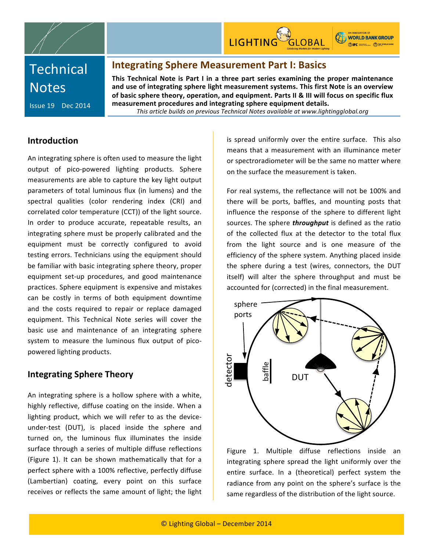

# **Technical Notes**

**Issue 19** Dec 2014

## **Integrating Sphere Measurement Part I: Basics**

**This Technical Note is Part I in a three part series examining the proper maintenance** and use of integrating sphere light measurement systems. This first Note is an overview of basic sphere theory, operation, and equipment. Parts II & III will focus on specific flux measurement procedures and integrating sphere equipment details.

*This%article%builds%on%previous%Technical%Notes%available%at%www.lightingglobal.org*

## **Introduction**

An integrating sphere is often used to measure the light output of pico-powered lighting products. Sphere measurements are able to capture the key light output parameters of total luminous flux (in lumens) and the spectral qualities (color rendering index (CRI) and correlated color temperature (CCT)) of the light source. In order to produce accurate, repeatable results, an integrating sphere must be properly calibrated and the equipment must be correctly configured to avoid testing errors. Technicians using the equipment should be familiar with basic integrating sphere theory, proper equipment set-up procedures, and good maintenance practices. Sphere equipment is expensive and mistakes can be costly in terms of both equipment downtime and the costs required to repair or replace damaged equipment. This Technical Note series will cover the basic use and maintenance of an integrating sphere system to measure the luminous flux output of picopowered lighting products.

## **Integrating Sphere Theory**

An integrating sphere is a hollow sphere with a white, highly reflective, diffuse coating on the inside. When a lighting product, which we will refer to as the deviceunder-test (DUT), is placed inside the sphere and turned on, the luminous flux illuminates the inside surface through a series of multiple diffuse reflections (Figure 1). It can be shown mathematically that for a perfect sphere with a 100% reflective, perfectly diffuse (Lambertian) coating, every point on this surface receives or reflects the same amount of light; the light is spread uniformly over the entire surface. This also means that a measurement with an illuminance meter or spectroradiometer will be the same no matter where on the surface the measurement is taken.

For real systems, the reflectance will not be 100% and there will be ports, baffles, and mounting posts that influence the response of the sphere to different light sources. The sphere *throughput* is defined as the ratio of the collected flux at the detector to the total flux from the light source and is one measure of the efficiency of the sphere system. Anything placed inside the sphere during a test (wires, connectors, the DUT itself) will alter the sphere throughput and must be accounted for (corrected) in the final measurement.



Figure 1. Multiple diffuse reflections inside an integrating sphere spread the light uniformly over the entire surface. In a (theoretical) perfect system the radiance from any point on the sphere's surface is the same regardless of the distribution of the light source.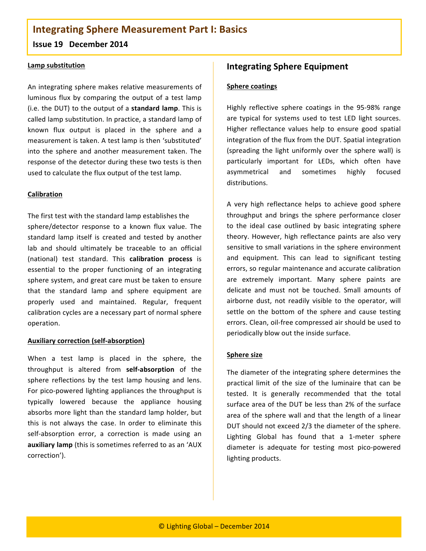## **Integrating Sphere Measurement Part I: Basics Issue 19 December 2014**

#### **Lamp substitution**

An integrating sphere makes relative measurements of luminous flux by comparing the output of a test lamp (i.e. the DUT) to the output of a **standard lamp**. This is called lamp substitution. In practice, a standard lamp of known flux output is placed in the sphere and a measurement is taken. A test lamp is then 'substituted' into the sphere and another measurement taken. The response of the detector during these two tests is then used to calculate the flux output of the test lamp.

#### **Calibration**

The first test with the standard lamp establishes the sphere/detector response to a known flux value. The standard lamp itself is created and tested by another lab and should ultimately be traceable to an official (national) test standard. This calibration process is essential to the proper functioning of an integrating sphere system, and great care must be taken to ensure that the standard lamp and sphere equipment are properly used and maintained. Regular, frequent calibration cycles are a necessary part of normal sphere operation.

#### **Auxiliary correction (self-absorption)**

When a test lamp is placed in the sphere, the throughput is altered from self-absorption of the sphere reflections by the test lamp housing and lens. For pico-powered lighting appliances the throughput is typically lowered because the appliance housing absorbs more light than the standard lamp holder, but this is not always the case. In order to eliminate this self-absorption error, a correction is made using an auxiliary lamp (this is sometimes referred to as an 'AUX correction').

## **Integrating Sphere Equipment**

#### **Sphere coatings**

Highly reflective sphere coatings in the 95-98% range are typical for systems used to test LED light sources. Higher reflectance values help to ensure good spatial integration of the flux from the DUT. Spatial integration (spreading the light uniformly over the sphere wall) is particularly important for LEDs, which often have asymmetrical and sometimes highly focused distributions.

A very high reflectance helps to achieve good sphere throughput and brings the sphere performance closer to the ideal case outlined by basic integrating sphere theory. However, high reflectance paints are also very sensitive to small variations in the sphere environment and equipment. This can lead to significant testing errors, so regular maintenance and accurate calibration are extremely important. Many sphere paints are delicate and must not be touched. Small amounts of airborne dust, not readily visible to the operator, will settle on the bottom of the sphere and cause testing errors. Clean, oil-free compressed air should be used to periodically blow out the inside surface.

#### **Sphere size**

The diameter of the integrating sphere determines the practical limit of the size of the luminaire that can be tested. It is generally recommended that the total surface area of the DUT be less than 2% of the surface area of the sphere wall and that the length of a linear DUT should not exceed 2/3 the diameter of the sphere. Lighting Global has found that a 1-meter sphere diameter is adequate for testing most pico-powered lighting products.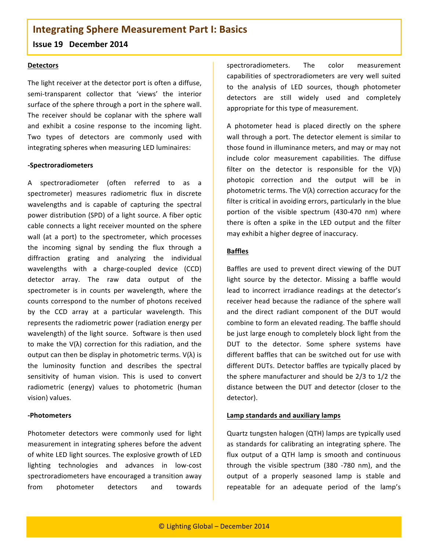## **Integrating Sphere Measurement Part I: Basics**

#### **Issue 19 December 2014**

#### **Detectors**

The light receiver at the detector port is often a diffuse, semi-transparent collector that 'views' the interior surface of the sphere through a port in the sphere wall. The receiver should be coplanar with the sphere wall and exhibit a cosine response to the incoming light. Two types of detectors are commonly used with integrating spheres when measuring LED luminaires:

#### **NSpectroradiometers**

A spectroradiometer (often referred to as a spectrometer) measures radiometric flux in discrete wavelengths and is capable of capturing the spectral power distribution (SPD) of a light source. A fiber optic cable connects a light receiver mounted on the sphere wall (at a port) to the spectrometer, which processes the incoming signal by sending the flux through a diffraction grating and analyzing the individual wavelengths with a charge-coupled device (CCD) detector array. The raw data output of the spectrometer is in counts per wavelength, where the counts correspond to the number of photons received by the CCD array at a particular wavelength. This represents the radiometric power (radiation energy per wavelength) of the light source. Software is then used to make the  $V(\lambda)$  correction for this radiation, and the output can then be display in photometric terms.  $V(\lambda)$  is the luminosity function and describes the spectral sensitivity of human vision. This is used to convert radiometric (energy) values to photometric (human vision) values.

#### **NPhotometers**

Photometer detectors were commonly used for light measurement in integrating spheres before the advent of white LED light sources. The explosive growth of LED lighting technologies and advances in low-cost spectroradiometers have encouraged a transition away from photometer detectors and towards

spectroradiometers. The color measurement capabilities of spectroradiometers are very well suited to the analysis of LED sources, though photometer detectors are still widely used and completely appropriate for this type of measurement.

A photometer head is placed directly on the sphere wall through a port. The detector element is similar to those found in illuminance meters, and may or may not include color measurement capabilities. The diffuse filter on the detector is responsible for the  $V(\lambda)$ photopic correction and the output will be in photometric terms. The  $V(\lambda)$  correction accuracy for the filter is critical in avoiding errors, particularly in the blue portion of the visible spectrum (430-470 nm) where there is often a spike in the LED output and the filter may exhibit a higher degree of inaccuracy.

#### **Baffles**

Baffles are used to prevent direct viewing of the DUT light source by the detector. Missing a baffle would lead to incorrect irradiance readings at the detector's receiver head because the radiance of the sphere wall and the direct radiant component of the DUT would combine to form an elevated reading. The baffle should be just large enough to completely block light from the DUT to the detector. Some sphere systems have different baffles that can be switched out for use with different DUTs. Detector baffles are typically placed by the sphere manufacturer and should be  $2/3$  to  $1/2$  the distance between the DUT and detector (closer to the detector).

#### **Lamp standards and auxiliary lamps**

Quartz tungsten halogen (QTH) lamps are typically used as standards for calibrating an integrating sphere. The flux output of a QTH lamp is smooth and continuous through the visible spectrum (380 -780 nm), and the output of a properly seasoned lamp is stable and repeatable for an adequate period of the lamp's